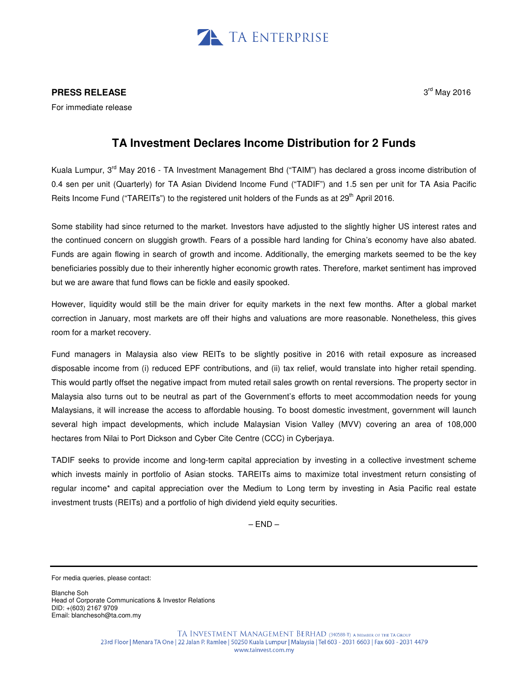

## **PRESS RELEASE**

For immediate release

## $3<sup>rd</sup>$  May 2016

## **TA Investment Declares Income Distribution for 2 Funds**

Kuala Lumpur, 3<sup>rd</sup> May 2016 - TA Investment Management Bhd ("TAIM") has declared a gross income distribution of 0.4 sen per unit (Quarterly) for TA Asian Dividend Income Fund ("TADIF") and 1.5 sen per unit for TA Asia Pacific Reits Income Fund ("TAREITs") to the registered unit holders of the Funds as at 29<sup>th</sup> April 2016.

Some stability had since returned to the market. Investors have adjusted to the slightly higher US interest rates and the continued concern on sluggish growth. Fears of a possible hard landing for China's economy have also abated. Funds are again flowing in search of growth and income. Additionally, the emerging markets seemed to be the key beneficiaries possibly due to their inherently higher economic growth rates. Therefore, market sentiment has improved but we are aware that fund flows can be fickle and easily spooked.

However, liquidity would still be the main driver for equity markets in the next few months. After a global market correction in January, most markets are off their highs and valuations are more reasonable. Nonetheless, this gives room for a market recovery.

Fund managers in Malaysia also view REITs to be slightly positive in 2016 with retail exposure as increased disposable income from (i) reduced EPF contributions, and (ii) tax relief, would translate into higher retail spending. This would partly offset the negative impact from muted retail sales growth on rental reversions. The property sector in Malaysia also turns out to be neutral as part of the Government's efforts to meet accommodation needs for young Malaysians, it will increase the access to affordable housing. To boost domestic investment, government will launch several high impact developments, which include Malaysian Vision Valley (MVV) covering an area of 108,000 hectares from Nilai to Port Dickson and Cyber Cite Centre (CCC) in Cyberjaya.

TADIF seeks to provide income and long-term capital appreciation by investing in a collective investment scheme which invests mainly in portfolio of Asian stocks. TAREITs aims to maximize total investment return consisting of regular income\* and capital appreciation over the Medium to Long term by investing in Asia Pacific real estate investment trusts (REITs) and a portfolio of high dividend yield equity securities.

 $-$  END $-$ 

Blanche Soh Head of Corporate Communications & Investor Relations DID: +(603) 2167 9709 Email: blanchesoh@ta.com.my

For media queries, please contact: